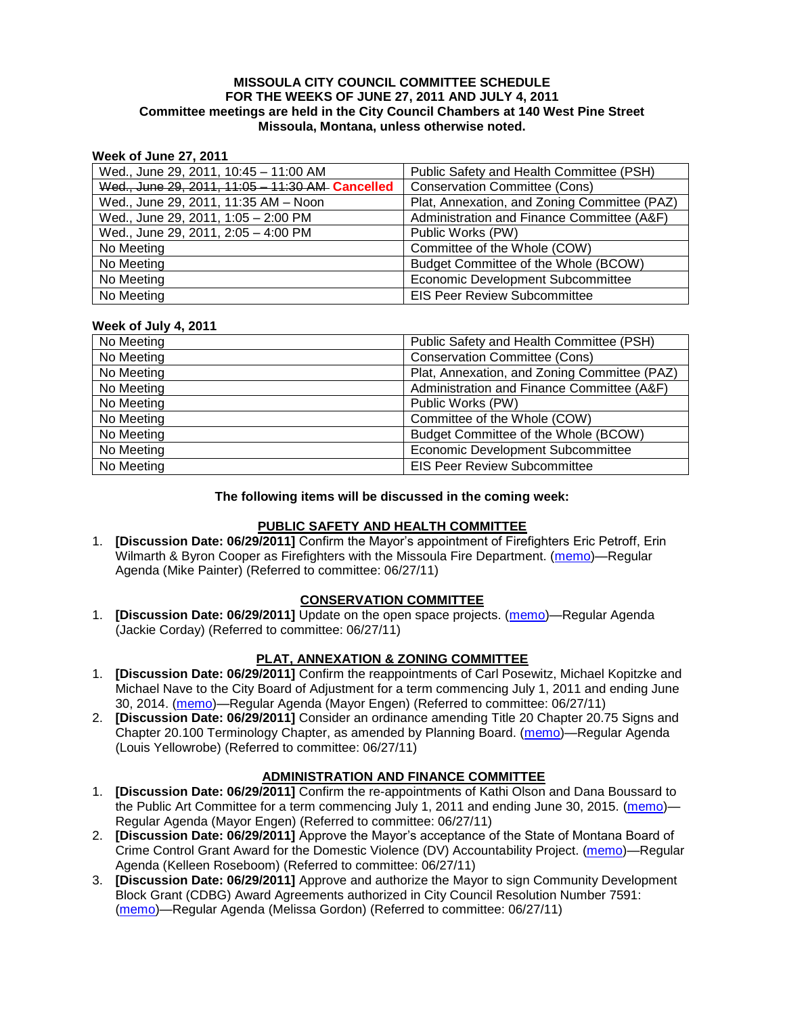### **MISSOULA CITY COUNCIL COMMITTEE SCHEDULE FOR THE WEEKS OF JUNE 27, 2011 AND JULY 4, 2011 Committee meetings are held in the City Council Chambers at 140 West Pine Street Missoula, Montana, unless otherwise noted.**

### **Week of June 27, 2011**

| Wed., June 29, 2011, 10:45 - 11:00 AM           | Public Safety and Health Committee (PSH)     |
|-------------------------------------------------|----------------------------------------------|
| Wed., June 29, 2011, 11:05 - 11:30 AM Cancelled | <b>Conservation Committee (Cons)</b>         |
| Wed., June 29, 2011, 11:35 AM - Noon            | Plat, Annexation, and Zoning Committee (PAZ) |
| Wed., June 29, 2011, 1:05 - 2:00 PM             | Administration and Finance Committee (A&F)   |
| Wed., June 29, 2011, 2:05 - 4:00 PM             | Public Works (PW)                            |
| No Meeting                                      | Committee of the Whole (COW)                 |
| No Meeting                                      | Budget Committee of the Whole (BCOW)         |
| No Meeting                                      | <b>Economic Development Subcommittee</b>     |
| No Meeting                                      | <b>EIS Peer Review Subcommittee</b>          |

#### **Week of July 4, 2011**

| No Meeting | Public Safety and Health Committee (PSH)     |
|------------|----------------------------------------------|
| No Meeting | <b>Conservation Committee (Cons)</b>         |
| No Meeting | Plat, Annexation, and Zoning Committee (PAZ) |
| No Meeting | Administration and Finance Committee (A&F)   |
| No Meeting | Public Works (PW)                            |
| No Meeting | Committee of the Whole (COW)                 |
| No Meeting | Budget Committee of the Whole (BCOW)         |
| No Meeting | <b>Economic Development Subcommittee</b>     |
| No Meeting | <b>EIS Peer Review Subcommittee</b>          |

### **The following items will be discussed in the coming week:**

### **PUBLIC SAFETY AND HEALTH COMMITTEE**

1. **[Discussion Date: 06/29/2011]** Confirm the Mayor's appointment of Firefighters Eric Petroff, Erin Wilmarth & Byron Cooper as Firefighters with the Missoula Fire Department. [\(memo\)](http://www.ci.missoula.mt.us/DocumentView.aspx?DID=6724)—Regular Agenda (Mike Painter) (Referred to committee: 06/27/11)

# **CONSERVATION COMMITTEE**

1. **[Discussion Date: 06/29/2011]** Update on the open space projects. [\(memo\)](http://www.ci.missoula.mt.us/DocumentView.aspx?DID=6684)—Regular Agenda (Jackie Corday) (Referred to committee: 06/27/11)

## **PLAT, ANNEXATION & ZONING COMMITTEE**

- 1. **[Discussion Date: 06/29/2011]** Confirm the reappointments of Carl Posewitz, Michael Kopitzke and Michael Nave to the City Board of Adjustment for a term commencing July 1, 2011 and ending June 30, 2014. [\(memo\)](http://www.ci.missoula.mt.us/DocumentView.aspx?DID=6728)—Regular Agenda (Mayor Engen) (Referred to committee: 06/27/11)
- 2. **[Discussion Date: 06/29/2011]** Consider an ordinance amending Title 20 Chapter 20.75 Signs and Chapter 20.100 Terminology Chapter, as amended by Planning Board. [\(memo\)](http://www.ci.missoula.mt.us/DocumentView.aspx?DID=6725)—Regular Agenda (Louis Yellowrobe) (Referred to committee: 06/27/11)

### **ADMINISTRATION AND FINANCE COMMITTEE**

- 1. **[Discussion Date: 06/29/2011]** Confirm the re-appointments of Kathi Olson and Dana Boussard to the Public Art Committee for a term commencing July 1, 2011 and ending June 30, 2015. [\(memo\)](http://www.ci.missoula.mt.us/DocumentView.aspx?DID=6727)— Regular Agenda (Mayor Engen) (Referred to committee: 06/27/11)
- 2. **[Discussion Date: 06/29/2011]** Approve the Mayor's acceptance of the State of Montana Board of Crime Control Grant Award for the Domestic Violence (DV) Accountability Project. [\(memo\)](http://www.ci.missoula.mt.us/DocumentView.aspx?DID=6702)—Regular Agenda (Kelleen Roseboom) (Referred to committee: 06/27/11)
- 3. **[Discussion Date: 06/29/2011]** Approve and authorize the Mayor to sign Community Development Block Grant (CDBG) Award Agreements authorized in City Council Resolution Number 7591: [\(memo\)](http://www.ci.missoula.mt.us/DocumentView.aspx?DID=6723)—Regular Agenda (Melissa Gordon) (Referred to committee: 06/27/11)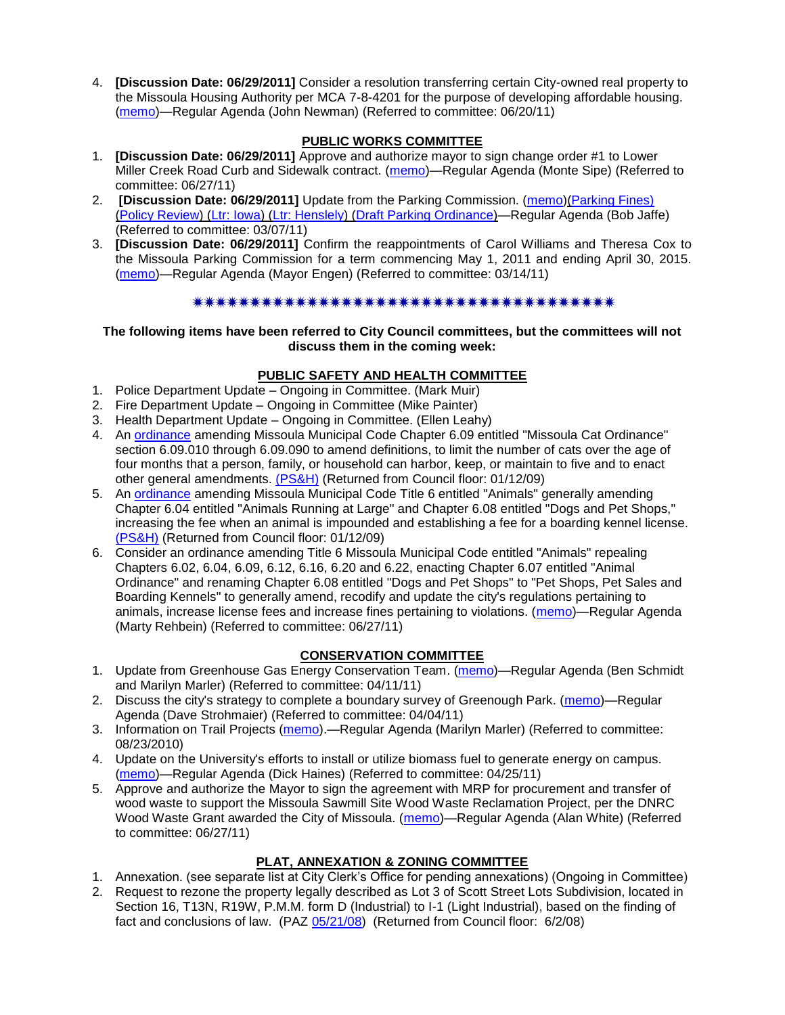4. **[Discussion Date: 06/29/2011]** Consider a resolution transferring certain City-owned real property to the Missoula Housing Authority per MCA 7-8-4201 for the purpose of developing affordable housing. [\(memo\)](http://www.ci.missoula.mt.us/DocumentView.aspx?DID=6648)—Regular Agenda (John Newman) (Referred to committee: 06/20/11)

# **PUBLIC WORKS COMMITTEE**

- 1. **[Discussion Date: 06/29/2011]** Approve and authorize mayor to sign change order #1 to Lower Miller Creek Road Curb and Sidewalk contract. [\(memo\)](http://www.ci.missoula.mt.us/DocumentView.aspx?DID=6703)—Regular Agenda (Monte Sipe) (Referred to committee: 06/27/11)
- 2. **[Discussion Date: 06/29/2011]** Update from the Parking Commission. [\(memo\)](http://www.ci.missoula.mt.us/DocumentView.aspx?DID=5666)[\(Parking Fines\)](http://www.ci.missoula.mt.us/DocumentView.aspx?DID=5802) [\(Policy Review\)](http://www.ci.missoula.mt.us/DocumentView.aspx?DID=5799) [\(Ltr: Iowa\)](http://www.ci.missoula.mt.us/DocumentView.aspx?DID=5803) [\(Ltr: Henslely\)](http://www.ci.missoula.mt.us/DocumentView.aspx?DID=5804) [\(Draft Parking Ordinance\)](http://www.ci.missoula.mt.us/DocumentView.aspx?DID=6057)—Regular Agenda (Bob Jaffe) (Referred to committee: 03/07/11)
- 3. **[Discussion Date: 06/29/2011]** Confirm the reappointments of Carol Williams and Theresa Cox to the Missoula Parking Commission for a term commencing May 1, 2011 and ending April 30, 2015. [\(memo\)](http://www.ci.missoula.mt.us/DocumentView.aspx?DID=5727)—Regular Agenda (Mayor Engen) (Referred to committee: 03/14/11)

# 

### **The following items have been referred to City Council committees, but the committees will not discuss them in the coming week:**

## **PUBLIC SAFETY AND HEALTH COMMITTEE**

- 1. Police Department Update Ongoing in Committee. (Mark Muir)
- 2. Fire Department Update Ongoing in Committee (Mike Painter)
- 3. Health Department Update Ongoing in Committee. (Ellen Leahy)
- 4. An [ordinance](ftp://ftp.ci.missoula.mt.us/Packets/Council/2008/2008-12-15/2008CatOrdinanceAmendment%5B1%5D.pdf) amending Missoula Municipal Code Chapter 6.09 entitled "Missoula Cat Ordinance" section 6.09.010 through 6.09.090 to amend definitions, to limit the number of cats over the age of four months that a person, family, or household can harbor, keep, or maintain to five and to enact other general amendments. [\(PS&H\)](ftp://ftp.ci.missoula.mt.us/Packets/Council/2008/2008-12-15/081210psh.pdf) (Returned from Council floor: 01/12/09)
- 5. An [ordinance](ftp://ftp.ci.missoula.mt.us/Packets/Council/2008/2008-12-15/DogOrdinance--PSHrevisions.pdf) amending Missoula Municipal Code Title 6 entitled "Animals" generally amending Chapter 6.04 entitled "Animals Running at Large" and Chapter 6.08 entitled "Dogs and Pet Shops," increasing the fee when an animal is impounded and establishing a fee for a boarding kennel license. [\(PS&H\)](ftp://ftp.ci.missoula.mt.us/Packets/Council/2008/2008-12-15/081210psh.pdf) (Returned from Council floor: 01/12/09)
- 6. Consider an ordinance amending Title 6 Missoula Municipal Code entitled "Animals" repealing Chapters 6.02, 6.04, 6.09, 6.12, 6.16, 6.20 and 6.22, enacting Chapter 6.07 entitled "Animal Ordinance" and renaming Chapter 6.08 entitled "Dogs and Pet Shops" to "Pet Shops, Pet Sales and Boarding Kennels" to generally amend, recodify and update the city's regulations pertaining to animals, increase license fees and increase fines pertaining to violations. [\(memo\)](http://www.ci.missoula.mt.us/DocumentView.aspx?DID=6698)—Regular Agenda (Marty Rehbein) (Referred to committee: 06/27/11)

## **CONSERVATION COMMITTEE**

- 1. Update from Greenhouse Gas Energy Conservation Team. [\(memo\)](http://www.ci.missoula.mt.us/DocumentView.aspx?DID=5945)—Regular Agenda (Ben Schmidt and Marilyn Marler) (Referred to committee: 04/11/11)
- 2. Discuss the city's strategy to complete a boundary survey of Greenough Park. [\(memo\)](http://www.ci.missoula.mt.us/DocumentView.aspx?DID=5875)—Regular Agenda (Dave Strohmaier) (Referred to committee: 04/04/11)
- 3. Information on Trail Projects [\(memo\)](http://www.ci.missoula.mt.us/DocumentView.aspx?DID=4477).—Regular Agenda (Marilyn Marler) (Referred to committee: 08/23/2010)
- 4. Update on the University's efforts to install or utilize biomass fuel to generate energy on campus. [\(memo\)](http://www.ci.missoula.mt.us/DocumentView.aspx?DID=6268)—Regular Agenda (Dick Haines) (Referred to committee: 04/25/11)
- 5. Approve and authorize the Mayor to sign the agreement with MRP for procurement and transfer of wood waste to support the Missoula Sawmill Site Wood Waste Reclamation Project, per the DNRC Wood Waste Grant awarded the City of Missoula. [\(memo\)](http://www.ci.missoula.mt.us/DocumentView.aspx?DID=6682)—Regular Agenda (Alan White) (Referred to committee: 06/27/11)

# **PLAT, ANNEXATION & ZONING COMMITTEE**

- 1. Annexation. (see separate list at City Clerk's Office for pending annexations) (Ongoing in Committee)
- 2. Request to rezone the property legally described as Lot 3 of Scott Street Lots Subdivision, located in Section 16, T13N, R19W, P.M.M. form D (Industrial) to I-1 (Light Industrial), based on the finding of fact and conclusions of law. (PAZ [05/21/08\)](ftp://ftp.ci.missoula.mt.us/Packets/Council/2008/2008-06-02/080521paz.pdf) (Returned from Council floor: 6/2/08)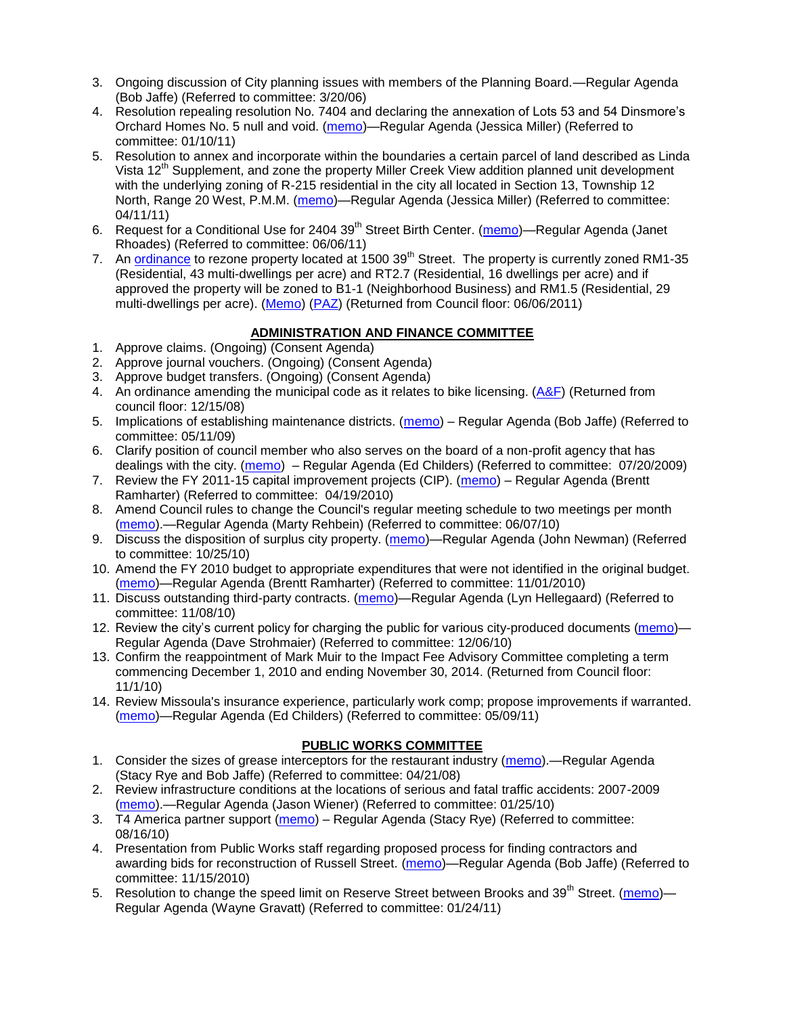- 3. Ongoing discussion of City planning issues with members of the Planning Board.—Regular Agenda (Bob Jaffe) (Referred to committee: 3/20/06)
- 4. Resolution repealing resolution No. 7404 and declaring the annexation of Lots 53 and 54 Dinsmore's Orchard Homes No. 5 null and void. [\(memo\)](http://www.ci.missoula.mt.us/DocumentView.aspx?DID=5349)—Regular Agenda (Jessica Miller) (Referred to committee: 01/10/11)
- 5. Resolution to annex and incorporate within the boundaries a certain parcel of land described as Linda Vista 12<sup>th</sup> Supplement, and zone the property Miller Creek View addition planned unit development with the underlying zoning of R-215 residential in the city all located in Section 13, Township 12 North, Range 20 West, P.M.M. [\(memo\)](http://www.ci.missoula.mt.us/DocumentView.aspx?DID=5992)—Regular Agenda (Jessica Miller) (Referred to committee: 04/11/11)
- 6. Request for a Conditional Use for 2404 39<sup>th</sup> Street Birth Center. [\(memo\)](http://www.ci.missoula.mt.us/DocumentView.aspx?DID=6544)—Regular Agenda (Janet Rhoades) (Referred to committee: 06/06/11)
- 7. An **ordinance** to rezone property located at 1500 39<sup>th</sup> Street. The property is currently zoned RM1-35 (Residential, 43 multi-dwellings per acre) and RT2.7 (Residential, 16 dwellings per acre) and if approved the property will be zoned to B1-1 (Neighborhood Business) and RM1.5 (Residential, 29 multi-dwellings per acre). [\(Memo\)](http://www.ci.missoula.mt.us/DocumentView.aspx?DID=6469) [\(PAZ\)](http://www.ci.missoula.mt.us/Archive.aspx?ADID=4010) (Returned from Council floor: 06/06/2011)

# **ADMINISTRATION AND FINANCE COMMITTEE**

- 1. Approve claims. (Ongoing) (Consent Agenda)
- 2. Approve journal vouchers. (Ongoing) (Consent Agenda)
- 3. Approve budget transfers. (Ongoing) (Consent Agenda)
- 4. An ordinance amending the municipal code as it relates to bike licensing. [\(A&F\)](ftp://ftp.ci.missoula.mt.us/Packets/Council/2008/2008-12-15/081210af.pdf) (Returned from council floor: 12/15/08)
- 5. Implications of establishing maintenance districts. [\(memo\)](ftp://ftp.ci.missoula.mt.us/Packets/Council/2009/2009-05-11/Referrals/MaintenanceDistricts.pdf) Regular Agenda (Bob Jaffe) (Referred to committee: 05/11/09)
- 6. Clarify position of council member who also serves on the board of a non-profit agency that has dealings with the city. [\(memo\)](http://www.ci.missoula.mt.us/DocumentView.aspx?DID=1840) – Regular Agenda (Ed Childers) (Referred to committee: 07/20/2009)
- 7. Review the FY 2011-15 capital improvement projects (CIP). [\(memo\)](http://www.ci.missoula.mt.us/DocumentView.aspx?DID=3522) Regular Agenda (Brentt Ramharter) (Referred to committee: 04/19/2010)
- 8. Amend Council rules to change the Council's regular meeting schedule to two meetings per month [\(memo\)](http://www.ci.missoula.mt.us/DocumentView.aspx?DID=4027).—Regular Agenda (Marty Rehbein) (Referred to committee: 06/07/10)
- 9. Discuss the disposition of surplus city property. [\(memo\)](http://www.ci.missoula.mt.us/DocumentView.aspx?DID=4862)—Regular Agenda (John Newman) (Referred to committee: 10/25/10)
- 10. Amend the FY 2010 budget to appropriate expenditures that were not identified in the original budget. [\(memo\)](http://www.ci.missoula.mt.us/DocumentView.aspx?DID=4883)—Regular Agenda (Brentt Ramharter) (Referred to committee: 11/01/2010)
- 11. Discuss outstanding third-party contracts. [\(memo\)](http://www.ci.missoula.mt.us/DocumentView.aspx?DID=4956)—Regular Agenda (Lyn Hellegaard) (Referred to committee: 11/08/10)
- 12. Review the city's current policy for charging the public for various city-produced documents [\(memo\)](http://www.ci.missoula.mt.us/DocumentView.aspx?DID=5143) Regular Agenda (Dave Strohmaier) (Referred to committee: 12/06/10)
- 13. Confirm the reappointment of Mark Muir to the Impact Fee Advisory Committee completing a term commencing December 1, 2010 and ending November 30, 2014. (Returned from Council floor: 11/1/10)
- 14. Review Missoula's insurance experience, particularly work comp; propose improvements if warranted. [\(memo\)](http://www.ci.missoula.mt.us/DocumentView.aspx?DID=6381)—Regular Agenda (Ed Childers) (Referred to committee: 05/09/11)

## **PUBLIC WORKS COMMITTEE**

- 1. Consider the sizes of grease interceptors for the restaurant industry [\(memo\)](ftp://ftp.ci.missoula.mt.us/Packets/Council/2008/2008-04-21/Referrals/Industrial_waste_restaurants.pdf).—Regular Agenda (Stacy Rye and Bob Jaffe) (Referred to committee: 04/21/08)
- 2. Review infrastructure conditions at the locations of serious and fatal traffic accidents: 2007-2009 [\(memo\)](http://www.ci.missoula.mt.us/DocumentView.aspx?DID=3031).—Regular Agenda (Jason Wiener) (Referred to committee: 01/25/10)
- 3. T4 America partner support [\(memo\)](http://www.ci.missoula.mt.us/DocumentView.aspx?DID=4452) Regular Agenda (Stacy Rye) (Referred to committee: 08/16/10)
- 4. Presentation from Public Works staff regarding proposed process for finding contractors and awarding bids for reconstruction of Russell Street. [\(memo\)](http://www.ci.missoula.mt.us/DocumentView.aspx?DID=5042)—Regular Agenda (Bob Jaffe) (Referred to committee: 11/15/2010)
- 5. Resolution to change the speed limit on Reserve Street between Brooks and 39<sup>th</sup> Street. [\(memo\)](http://www.ci.missoula.mt.us/DocumentView.aspx?DID=5418) Regular Agenda (Wayne Gravatt) (Referred to committee: 01/24/11)